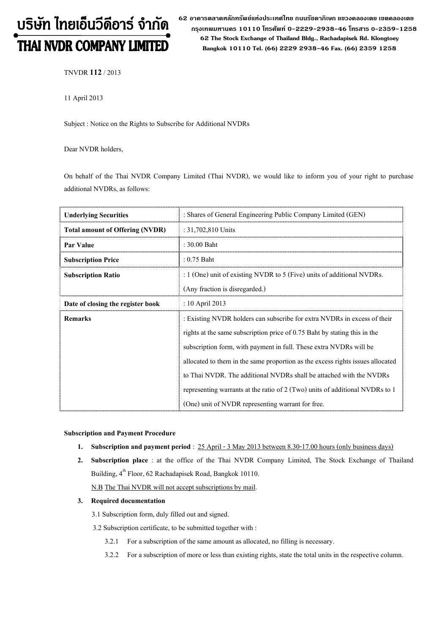# บริษัท ไทยเอ็นวีดีอาร์ จำกัด THAI NVDR COMPANY LIMITED

62 อาดารตลาดหลักทรัพย์แห่งประเทศไทย ถนนรัซดาภิเษก แขวงดลองเตย เขตดลองเตย กรุงเทพมหานดร 10110 โทรศัพท์ 0-2229-2938-46 โทรสาร 0-2359-1258 62 The Stock Exchange of Thailand Bldg., Rachadapisek Rd. Klongtoey Bangkok 10110 Tel. (66) 2229 2938-46 Fax. (66) 2359 1258

TNVDR 112/ 2013

11 April 2013

Subject : Notice on the Rights to Subscribe for Additional NVDRs

Dear NVDR holders,

On behalf of the Thai NVDR Company Limited (Thai NVDR), we would like to inform you of your right to purchase additional NVDRs, as follows:

| <b>Underlying Securities</b>           | : Shares of General Engineering Public Company Limited (GEN)                   |  |  |
|----------------------------------------|--------------------------------------------------------------------------------|--|--|
| <b>Total amount of Offering (NVDR)</b> | : $31,702,810$ Units                                                           |  |  |
| Par Value                              | : 30.00 Baht                                                                   |  |  |
| <b>Subscription Price</b>              | $: 0.75$ Baht                                                                  |  |  |
| <b>Subscription Ratio</b>              | : $1$ (One) unit of existing NVDR to 5 (Five) units of additional NVDRs.       |  |  |
|                                        | (Any fraction is disregarded.)                                                 |  |  |
| Date of closing the register book      | : 10 April 2013                                                                |  |  |
| <b>Remarks</b>                         | : Existing NVDR holders can subscribe for extra NVDRs in excess of their       |  |  |
|                                        | rights at the same subscription price of 0.75 Baht by stating this in the      |  |  |
|                                        | subscription form, with payment in full. These extra NVDRs will be             |  |  |
|                                        | allocated to them in the same proportion as the excess rights issues allocated |  |  |
|                                        | to Thai NVDR. The additional NVDRs shall be attached with the NVDRs            |  |  |
|                                        | representing warrants at the ratio of 2 (Two) units of additional NVDRs to 1   |  |  |
|                                        | (One) unit of NVDR representing warrant for free.                              |  |  |

#### Subscription and Payment Procedure

- 1. Subscription and payment period : 25 April 3 May 2013 between 8.30-17.00 hours (only business days)
- 2. Subscription place : at the office of the Thai NVDR Company Limited, The Stock Exchange of Thailand Building, 4<sup>th</sup> Floor, 62 Rachadapisek Road, Bangkok 10110.
	- N.B The Thai NVDR will not accept subscriptions by mail.

### 3. Required documentation

- 3.1 Subscription form, duly filled out and signed.
- 3.2 Subscription certificate, to be submitted together with :
	- 3.2.1 For a subscription of the same amount as allocated, no filling is necessary.
	- 3.2.2 For a subscription of more or less than existing rights, state the total units in the respective column.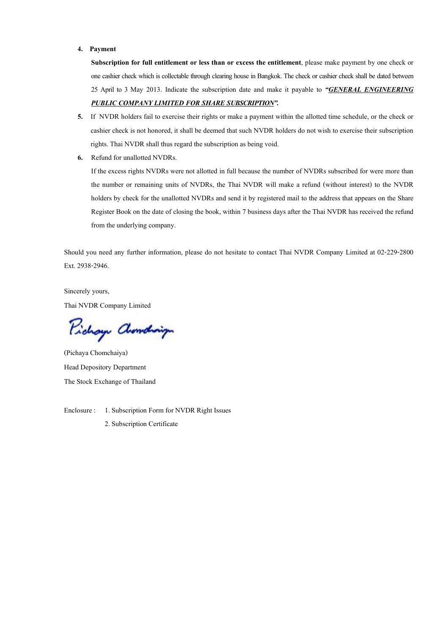#### 4. Payment

Subscription for full entitlement or less than or excess the entitlement, please make payment by one check or one cashier check which is collectable through clearing house in Bangkok. The check or cashier check shall be dated between 25 April to 3 May 2013. Indicate the subscription date and make it payable to "GENERAL ENGINEERING PUBLIC COMPANY LIMITED FOR SHARE SUBSCRIPTION".

- 5. If NVDR holders fail to exercise their rights or make a payment within the allotted time schedule, or the check or cashier check is not honored, it shall be deemed that such NVDR holders do not wish to exercise their subscription rights. Thai NVDR shall thus regard the subscription as being void.
- 6. Refund for unallotted NVDRs.

If the excess rights NVDRs were not allotted in full because the number of NVDRs subscribed for were more than the number or remaining units of NVDRs, the Thai NVDR will make a refund (without interest) to the NVDR holders by check for the unallotted NVDRs and send it by registered mail to the address that appears on the Share Register Book on the date of closing the book, within 7 business days after the Thai NVDR has received the refund from the underlying company.

Should you need any further information, please do not hesitate to contact Thai NVDR Company Limited at 02-229-2800 Ext. 2938-2946.

Sincerely yours, Thai NVDR Company Limited

Pichay Chamalaign

(Pichaya Chomchaiya) Head Depository Department The Stock Exchange of Thailand

Enclosure : 1. Subscription Form for NVDR Right Issues 2. Subscription Certificate